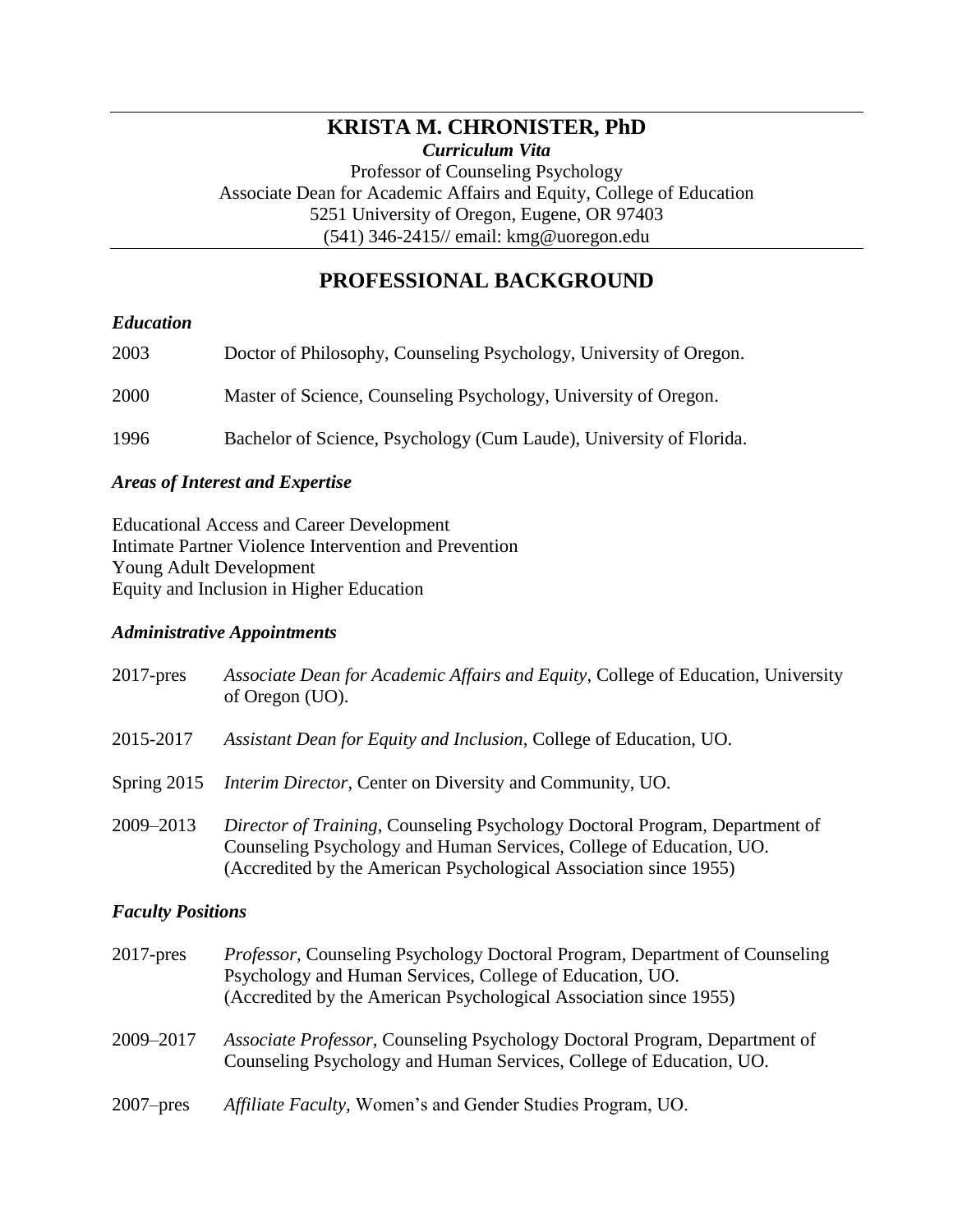## **KRISTA M. CHRONISTER, PhD** *Curriculum Vita*

Professor of Counseling Psychology Associate Dean for Academic Affairs and Equity, College of Education 5251 University of Oregon, Eugene, OR 97403 (541) 346-2415// email: kmg@uoregon.edu

# **PROFESSIONAL BACKGROUND**

#### *Education*

| 2003 | Doctor of Philosophy, Counseling Psychology, University of Oregon.  |
|------|---------------------------------------------------------------------|
| 2000 | Master of Science, Counseling Psychology, University of Oregon.     |
| 1996 | Bachelor of Science, Psychology (Cum Laude), University of Florida. |

#### *Areas of Interest and Expertise*

Educational Access and Career Development Intimate Partner Violence Intervention and Prevention Young Adult Development Equity and Inclusion in Higher Education

#### *Administrative Appointments*

| $2017$ -pres | Associate Dean for Academic Affairs and Equity, College of Education, University<br>of Oregon (UO).                                                                                                                             |
|--------------|---------------------------------------------------------------------------------------------------------------------------------------------------------------------------------------------------------------------------------|
| 2015-2017    | Assistant Dean for Equity and Inclusion, College of Education, UO.                                                                                                                                                              |
| Spring 2015  | <i>Interim Director, Center on Diversity and Community, UO.</i>                                                                                                                                                                 |
| 2009-2013    | <i>Director of Training</i> , Counseling Psychology Doctoral Program, Department of<br>Counseling Psychology and Human Services, College of Education, UO.<br>(Accredited by the American Psychological Association since 1955) |

## *Faculty Positions*

| $2017$ -pres | <i>Professor</i> , Counseling Psychology Doctoral Program, Department of Counseling<br>Psychology and Human Services, College of Education, UO.<br>(Accredited by the American Psychological Association since 1955) |
|--------------|----------------------------------------------------------------------------------------------------------------------------------------------------------------------------------------------------------------------|
| 2009-2017    | <i>Associate Professor,</i> Counseling Psychology Doctoral Program, Department of<br>Counseling Psychology and Human Services, College of Education, UO.                                                             |
| $2007$ -pres | Affiliate Faculty, Women's and Gender Studies Program, UO.                                                                                                                                                           |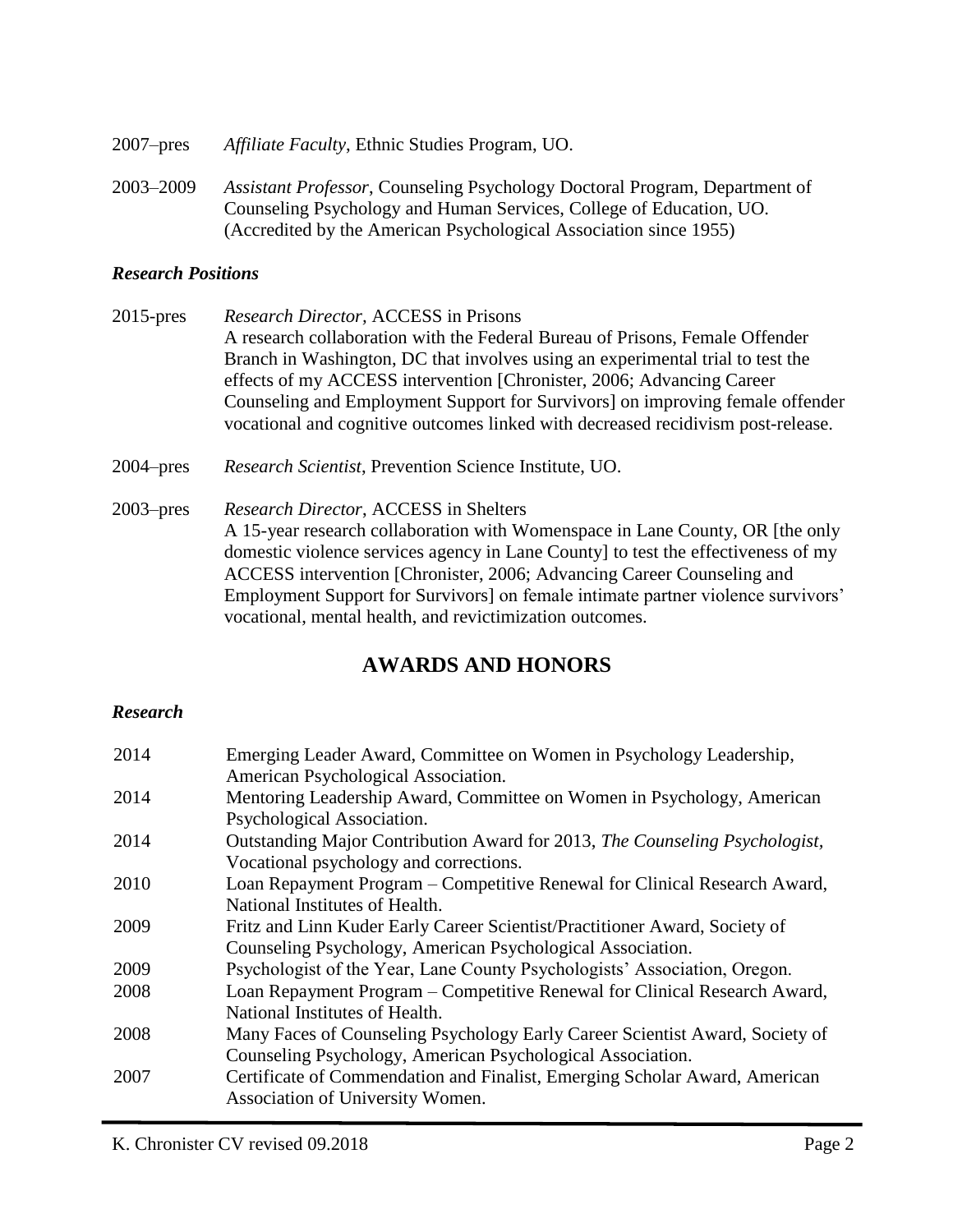2007–pres *Affiliate Faculty*, Ethnic Studies Program, UO. 2003–2009 *Assistant Professor*, Counseling Psychology Doctoral Program, Department of Counseling Psychology and Human Services, College of Education, UO. (Accredited by the American Psychological Association since 1955)

#### *Research Positions*

- 2015-pres *Research Director,* ACCESS in Prisons A research collaboration with the Federal Bureau of Prisons, Female Offender Branch in Washington, DC that involves using an experimental trial to test the effects of my ACCESS intervention [Chronister, 2006; Advancing Career Counseling and Employment Support for Survivors] on improving female offender vocational and cognitive outcomes linked with decreased recidivism post-release.
- 2004–pres *Research Scientist*, Prevention Science Institute, UO.
- 2003–pres *Research Director*, ACCESS in Shelters A 15-year research collaboration with Womenspace in Lane County, OR [the only domestic violence services agency in Lane County] to test the effectiveness of my ACCESS intervention [Chronister, 2006; Advancing Career Counseling and Employment Support for Survivors] on female intimate partner violence survivors' vocational, mental health, and revictimization outcomes.

## **AWARDS AND HONORS**

#### *Research*

| 2014 | Emerging Leader Award, Committee on Women in Psychology Leadership,          |
|------|------------------------------------------------------------------------------|
|      | American Psychological Association.                                          |
| 2014 | Mentoring Leadership Award, Committee on Women in Psychology, American       |
|      | Psychological Association.                                                   |
| 2014 | Outstanding Major Contribution Award for 2013, The Counseling Psychologist,  |
|      | Vocational psychology and corrections.                                       |
| 2010 | Loan Repayment Program – Competitive Renewal for Clinical Research Award,    |
|      | National Institutes of Health.                                               |
| 2009 | Fritz and Linn Kuder Early Career Scientist/Practitioner Award, Society of   |
|      | Counseling Psychology, American Psychological Association.                   |
| 2009 | Psychologist of the Year, Lane County Psychologists' Association, Oregon.    |
| 2008 | Loan Repayment Program – Competitive Renewal for Clinical Research Award,    |
|      | National Institutes of Health.                                               |
| 2008 | Many Faces of Counseling Psychology Early Career Scientist Award, Society of |
|      | Counseling Psychology, American Psychological Association.                   |
| 2007 | Certificate of Commendation and Finalist, Emerging Scholar Award, American   |
|      | Association of University Women.                                             |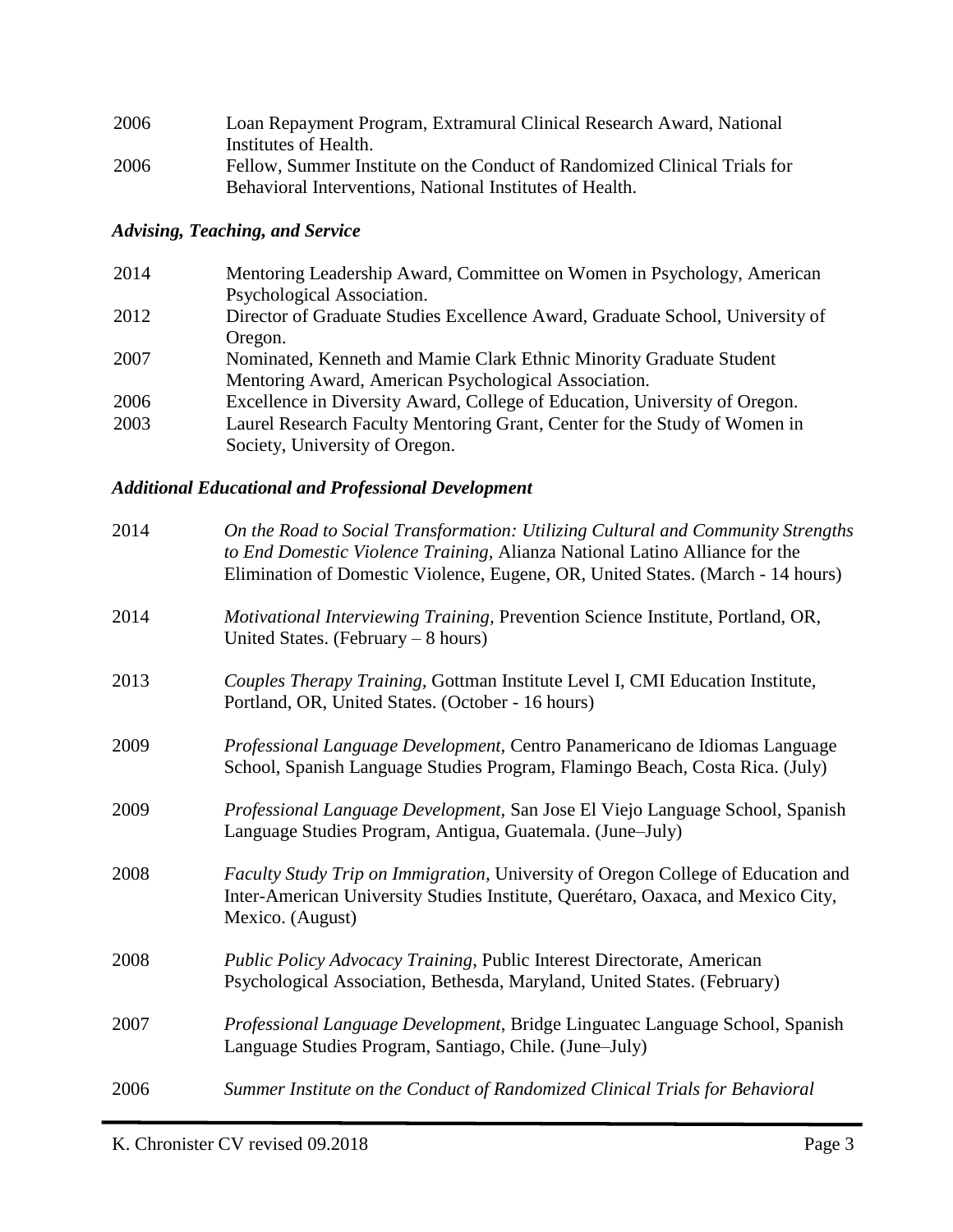| 2006 | Loan Repayment Program, Extramural Clinical Research Award, National      |
|------|---------------------------------------------------------------------------|
|      | Institutes of Health.                                                     |
| 2006 | Fellow, Summer Institute on the Conduct of Randomized Clinical Trials for |
|      | Behavioral Interventions, National Institutes of Health.                  |

## *Advising, Teaching, and Service*

| Mentoring Leadership Award, Committee on Women in Psychology, American        |
|-------------------------------------------------------------------------------|
|                                                                               |
| Director of Graduate Studies Excellence Award, Graduate School, University of |
|                                                                               |
| Nominated, Kenneth and Mamie Clark Ethnic Minority Graduate Student           |
| Mentoring Award, American Psychological Association.                          |
| Excellence in Diversity Award, College of Education, University of Oregon.    |
| Laurel Research Faculty Mentoring Grant, Center for the Study of Women in     |
| Society, University of Oregon.                                                |
|                                                                               |

## *Additional Educational and Professional Development*

| 2014 | On the Road to Social Transformation: Utilizing Cultural and Community Strengths<br>to End Domestic Violence Training, Alianza National Latino Alliance for the<br>Elimination of Domestic Violence, Eugene, OR, United States. (March - 14 hours) |
|------|----------------------------------------------------------------------------------------------------------------------------------------------------------------------------------------------------------------------------------------------------|
| 2014 | Motivational Interviewing Training, Prevention Science Institute, Portland, OR,<br>United States. (February $-8$ hours)                                                                                                                            |
| 2013 | Couples Therapy Training, Gottman Institute Level I, CMI Education Institute,<br>Portland, OR, United States. (October - 16 hours)                                                                                                                 |
| 2009 | Professional Language Development, Centro Panamericano de Idiomas Language<br>School, Spanish Language Studies Program, Flamingo Beach, Costa Rica. (July)                                                                                         |
| 2009 | Professional Language Development, San Jose El Viejo Language School, Spanish<br>Language Studies Program, Antigua, Guatemala. (June-July)                                                                                                         |
| 2008 | Faculty Study Trip on Immigration, University of Oregon College of Education and<br>Inter-American University Studies Institute, Querétaro, Oaxaca, and Mexico City,<br>Mexico. (August)                                                           |
| 2008 | Public Policy Advocacy Training, Public Interest Directorate, American<br>Psychological Association, Bethesda, Maryland, United States. (February)                                                                                                 |
| 2007 | Professional Language Development, Bridge Linguatec Language School, Spanish<br>Language Studies Program, Santiago, Chile. (June-July)                                                                                                             |
| 2006 | Summer Institute on the Conduct of Randomized Clinical Trials for Behavioral                                                                                                                                                                       |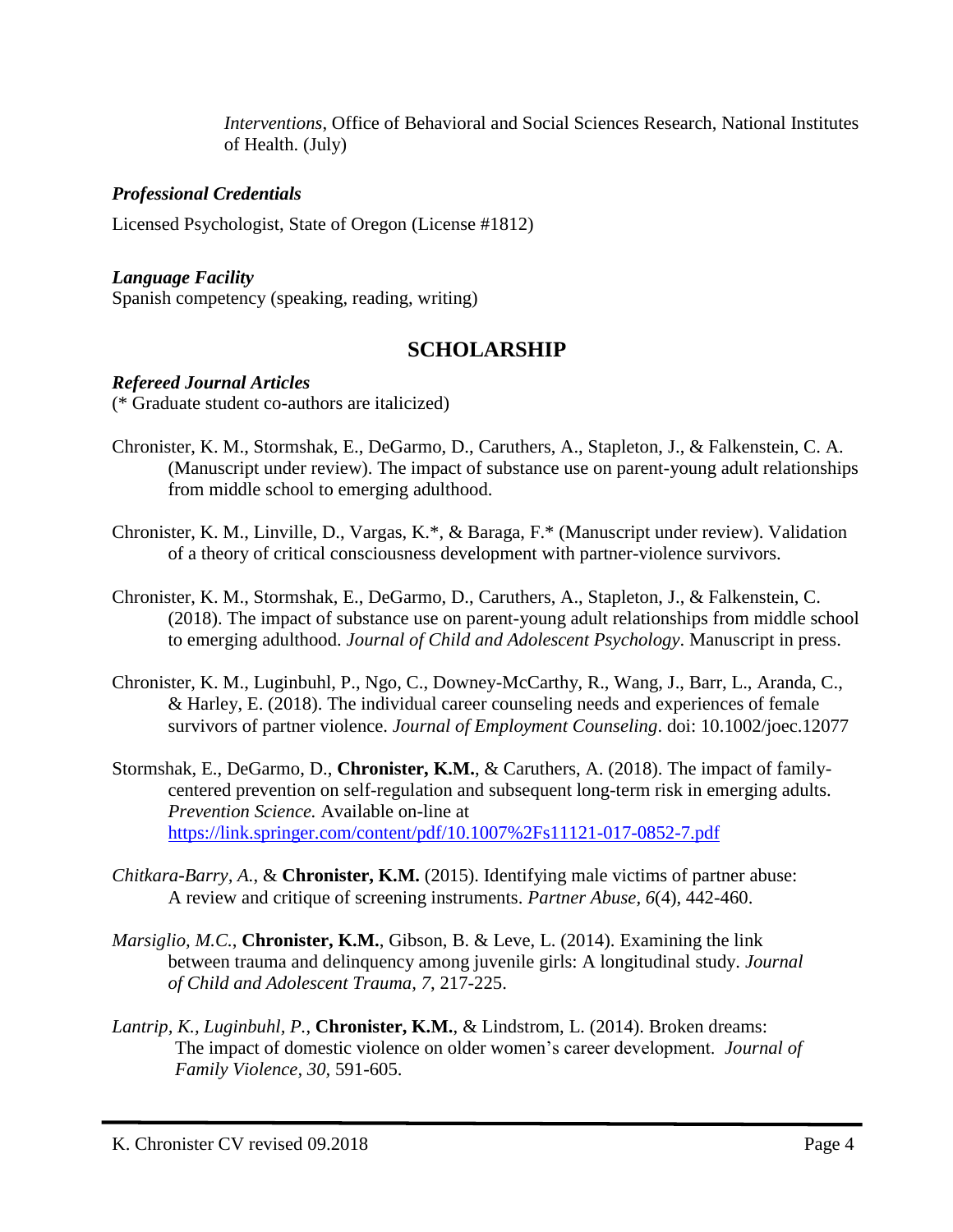*Interventions*, Office of Behavioral and Social Sciences Research, National Institutes of Health. (July)

## *Professional Credentials*

Licensed Psychologist, State of Oregon (License #1812)

## *Language Facility*

Spanish competency (speaking, reading, writing)

# **SCHOLARSHIP**

## *Refereed Journal Articles*

(\* Graduate student co-authors are italicized)

- Chronister, K. M., Stormshak, E., DeGarmo, D., Caruthers, A., Stapleton, J., & Falkenstein, C. A. (Manuscript under review). The impact of substance use on parent-young adult relationships from middle school to emerging adulthood.
- Chronister, K. M., Linville, D., Vargas, K.\*, & Baraga, F.\* (Manuscript under review). Validation of a theory of critical consciousness development with partner-violence survivors.
- Chronister, K. M., Stormshak, E., DeGarmo, D., Caruthers, A., Stapleton, J., & Falkenstein, C. (2018). The impact of substance use on parent-young adult relationships from middle school to emerging adulthood. *Journal of Child and Adolescent Psychology*. Manuscript in press.
- Chronister, K. M., Luginbuhl, P., Ngo, C., Downey-McCarthy, R., Wang, J., Barr, L., Aranda, C., & Harley, E. (2018). The individual career counseling needs and experiences of female survivors of partner violence. *Journal of Employment Counseling*. doi: 10.1002/joec.12077
- Stormshak, E., DeGarmo, D., **Chronister, K.M.**, & Caruthers, A. (2018). The impact of familycentered prevention on self-regulation and subsequent long-term risk in emerging adults. *Prevention Science.* Available on-line at <https://link.springer.com/content/pdf/10.1007%2Fs11121-017-0852-7.pdf>
- *Chitkara-Barry, A.*, & **Chronister, K.M.** (2015). Identifying male victims of partner abuse: A review and critique of screening instruments. *Partner Abuse, 6*(4), 442-460.
- *Marsiglio, M.C.*, **Chronister, K.M.**, Gibson, B. & Leve, L. (2014). Examining the link between trauma and delinquency among juvenile girls: A longitudinal study. *Journal of Child and Adolescent Trauma, 7*, 217-225.
- *Lantrip, K., Luginbuhl, P.*, **Chronister, K.M.**, & Lindstrom, L. (2014). Broken dreams: The impact of domestic violence on older women's career development. *Journal of Family Violence, 30,* 591-605.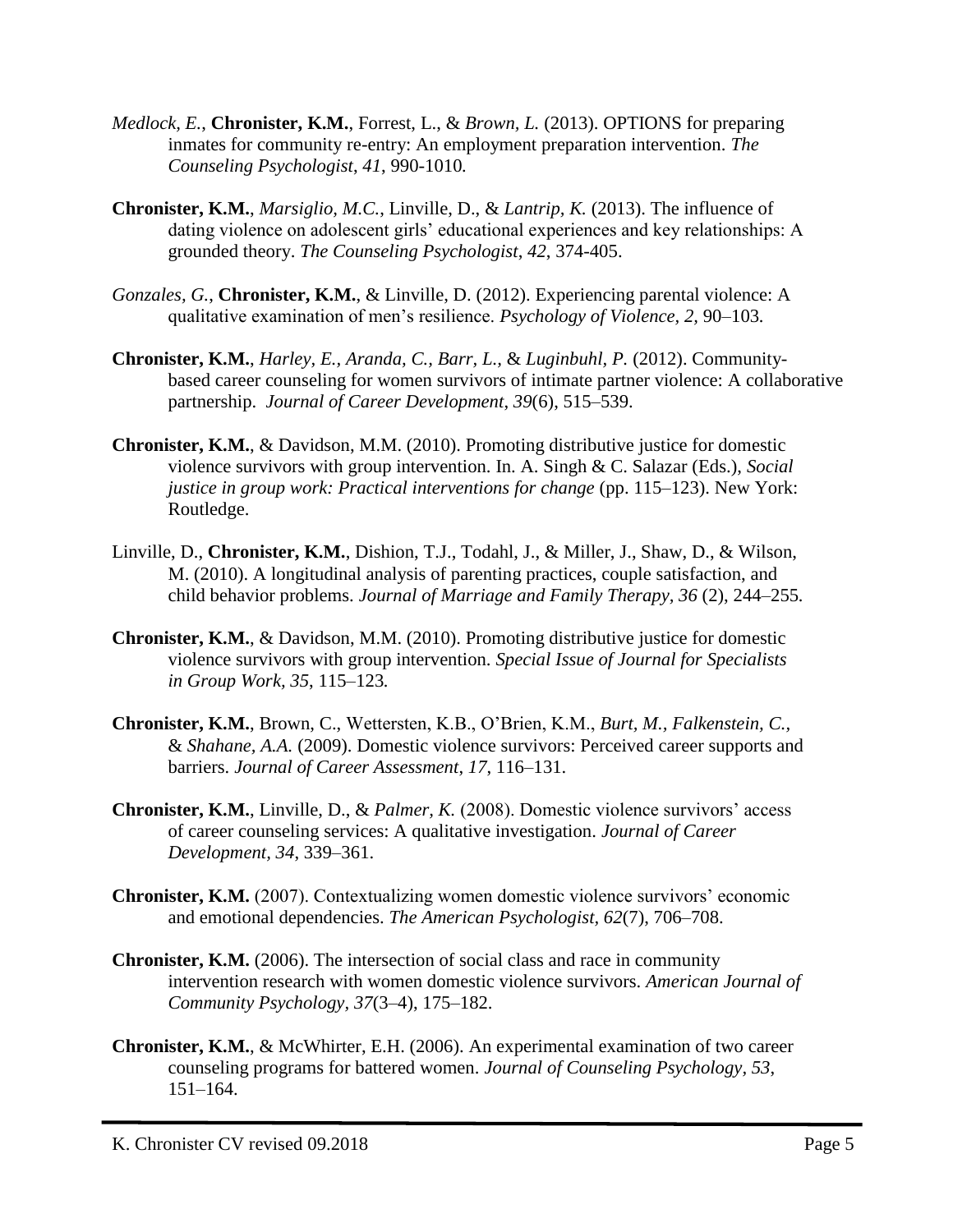- *Medlock, E.*, **Chronister, K.M.**, Forrest, L., & *Brown, L.* (2013). OPTIONS for preparing inmates for community re-entry: An employment preparation intervention. *The Counseling Psychologist*, *41*, 990-1010*.*
- **Chronister, K.M.**, *Marsiglio, M.C.*, Linville, D., & *Lantrip, K.* (2013). The influence of dating violence on adolescent girls' educational experiences and key relationships: A grounded theory. *The Counseling Psychologist*, *42*, 374-405.
- *Gonzales, G.*, **Chronister, K.M.**, & Linville, D. (2012). Experiencing parental violence: A qualitative examination of men's resilience. *Psychology of Violence, 2,* 90–103*.*
- **Chronister, K.M.**, *Harley, E., Aranda, C., Barr, L.,* & *Luginbuhl, P.* (2012). Communitybased career counseling for women survivors of intimate partner violence: A collaborative partnership. *Journal of Career Development*, *39*(6), 515–539.
- **Chronister, K.M.**, & Davidson, M.M. (2010). Promoting distributive justice for domestic violence survivors with group intervention. In. A. Singh & C. Salazar (Eds.), *Social justice in group work: Practical interventions for change (pp. 115–123). New York:* Routledge.
- Linville, D., **Chronister, K.M.**, Dishion, T.J., Todahl, J., & Miller, J., Shaw, D., & Wilson, M. (2010). A longitudinal analysis of parenting practices, couple satisfaction, and child behavior problems. *Journal of Marriage and Family Therapy, 36* (2), 244–255*.*
- **Chronister, K.M.**, & Davidson, M.M. (2010). Promoting distributive justice for domestic violence survivors with group intervention. *Special Issue of Journal for Specialists in Group Work, 35*, 115–123*.*
- **Chronister, K.M.**, Brown, C., Wettersten, K.B., O'Brien, K.M., *Burt, M., Falkenstein, C.,*  & *Shahane, A.A.* (2009). Domestic violence survivors: Perceived career supports and barriers. *Journal of Career Assessment*, *17*, 116–131.
- **Chronister, K.M.**, Linville, D., & *Palmer, K.* (2008). Domestic violence survivors' access of career counseling services: A qualitative investigation. *Journal of Career Development, 34*, 339–361.
- **Chronister, K.M.** (2007). Contextualizing women domestic violence survivors' economic and emotional dependencies. *The American Psychologist, 62*(7), 706–708.
- **Chronister, K.M.** (2006). The intersection of social class and race in community intervention research with women domestic violence survivors. *American Journal of Community Psychology, 37*(3–4), 175–182.
- **Chronister, K.M.**, & McWhirter, E.H. (2006). An experimental examination of two career counseling programs for battered women. *Journal of Counseling Psychology, 53*, 151–164.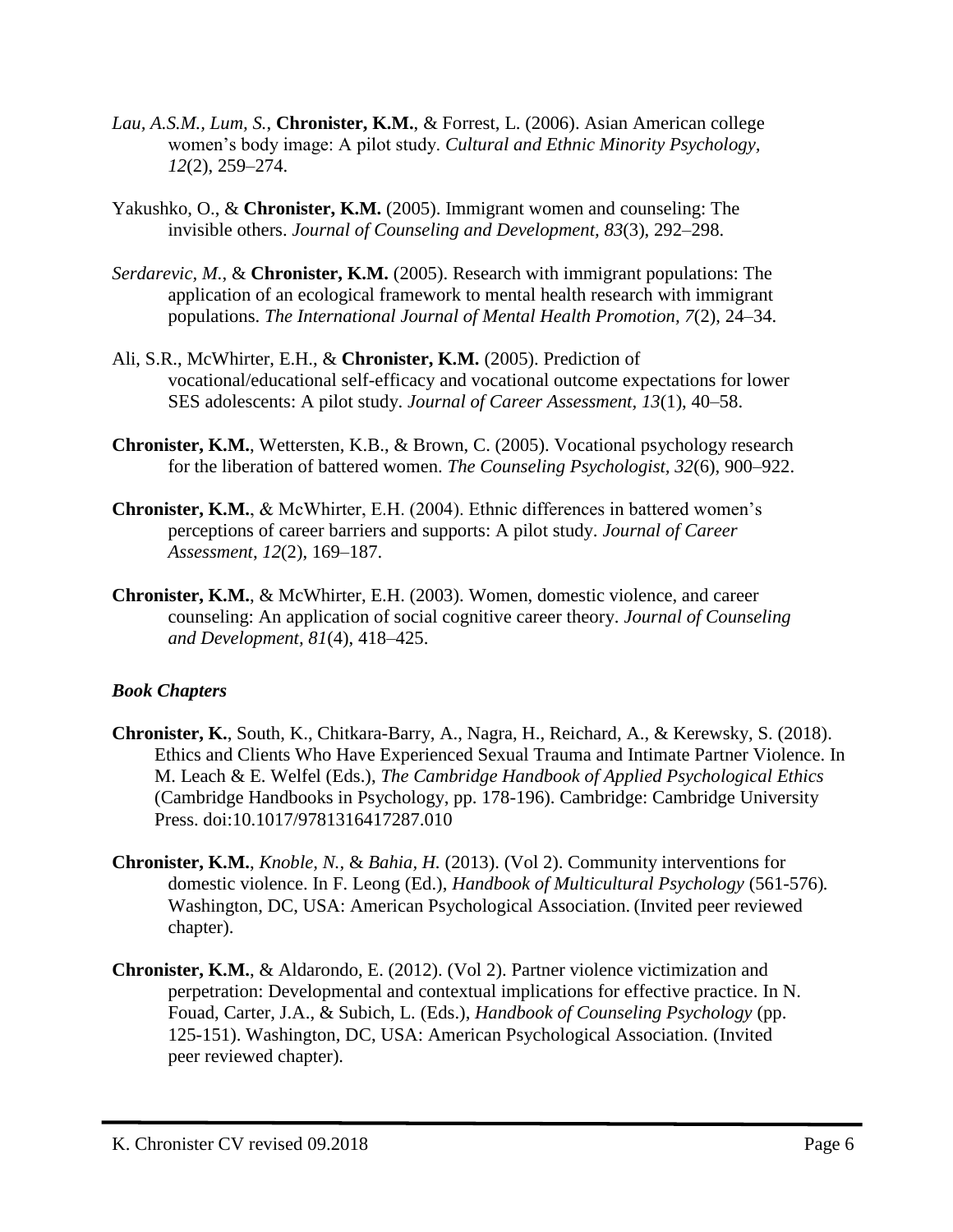- *Lau, A.S.M., Lum, S.*, **Chronister, K.M.**, & Forrest, L. (2006). Asian American college women's body image: A pilot study. *Cultural and Ethnic Minority Psychology, 12*(2), 259–274.
- Yakushko, O., & **Chronister, K.M.** (2005). Immigrant women and counseling: The invisible others. *Journal of Counseling and Development, 83*(3), 292–298.
- *Serdarevic, M.*, & **Chronister, K.M.** (2005). Research with immigrant populations: The application of an ecological framework to mental health research with immigrant populations. *The International Journal of Mental Health Promotion, 7*(2), 24–34.
- Ali, S.R., McWhirter, E.H., & **Chronister, K.M.** (2005). Prediction of vocational/educational self-efficacy and vocational outcome expectations for lower SES adolescents: A pilot study. *Journal of Career Assessment, 13*(1), 40–58.
- **Chronister, K.M.**, Wettersten, K.B., & Brown, C. (2005). Vocational psychology research for the liberation of battered women. *The Counseling Psychologist, 32*(6), 900–922.
- **Chronister, K.M.**, & McWhirter, E.H. (2004). Ethnic differences in battered women's perceptions of career barriers and supports: A pilot study. *Journal of Career Assessment*, *12*(2), 169–187.
- **Chronister, K.M.**, & McWhirter, E.H. (2003). Women, domestic violence, and career counseling: An application of social cognitive career theory. *Journal of Counseling and Development, 81*(4), 418–425.

## *Book Chapters*

- **Chronister, K.**, South, K., Chitkara-Barry, A., Nagra, H., Reichard, A., & Kerewsky, S. (2018). Ethics and Clients Who Have Experienced Sexual Trauma and Intimate Partner Violence. In M. Leach & E. Welfel (Eds.), *The Cambridge Handbook of Applied Psychological Ethics* (Cambridge Handbooks in Psychology, pp. 178-196). Cambridge: Cambridge University Press. doi:10.1017/9781316417287.010
- **Chronister, K.M.**, *Knoble, N.,* & *Bahia, H.* (2013). (Vol 2). Community interventions for domestic violence. In F. Leong (Ed.), *Handbook of Multicultural Psychology* (561-576)*.*  Washington, DC, USA: American Psychological Association. (Invited peer reviewed chapter).
- **Chronister, K.M.**, & Aldarondo, E. (2012). (Vol 2). Partner violence victimization and perpetration: Developmental and contextual implications for effective practice. In N. Fouad, Carter, J.A., & Subich, L. (Eds.), *Handbook of Counseling Psychology* (pp. 125-151). Washington, DC, USA: American Psychological Association. (Invited peer reviewed chapter).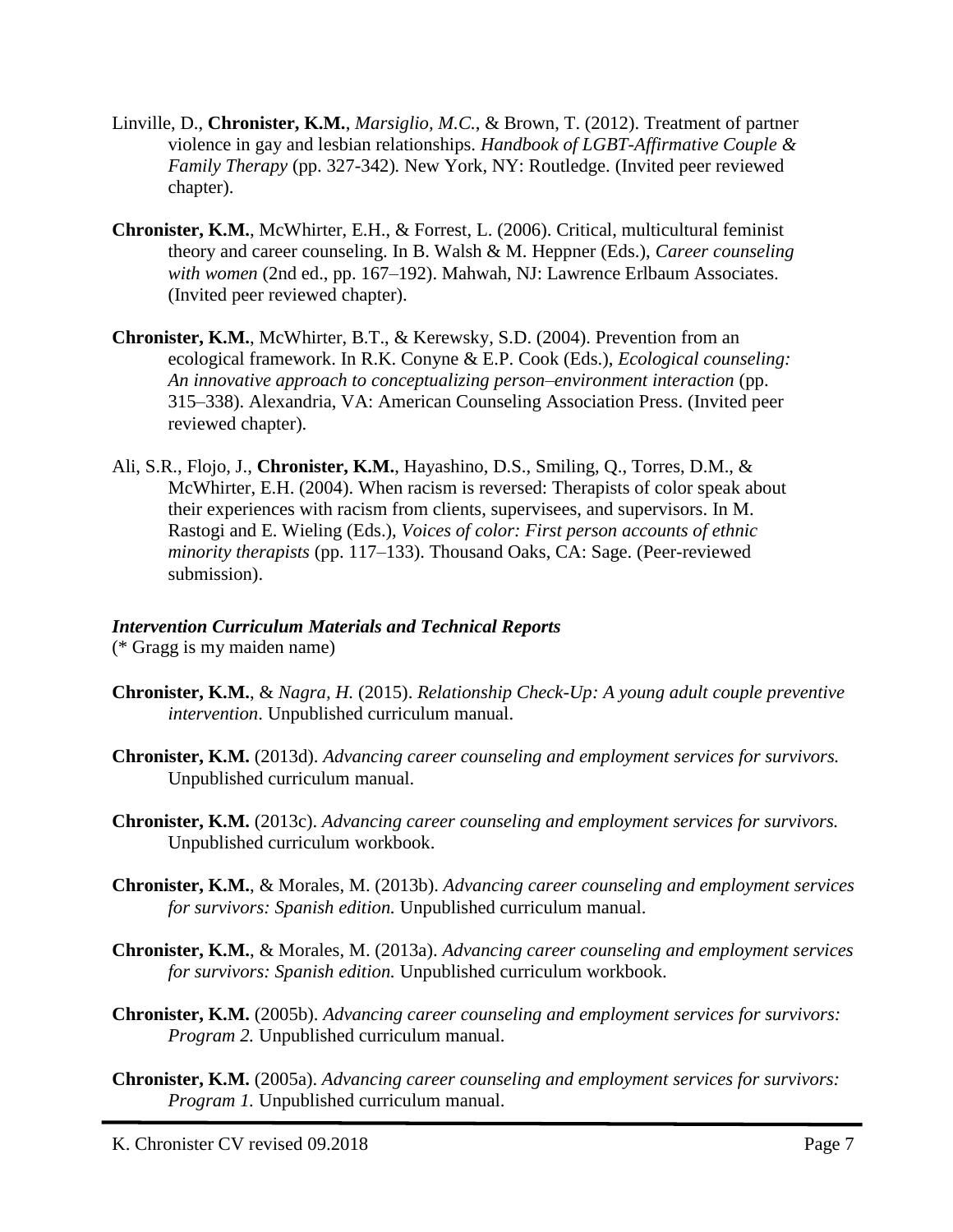- Linville, D., **Chronister, K.M.**, *Marsiglio, M.C.*, & Brown, T. (2012). Treatment of partner violence in gay and lesbian relationships. *Handbook of LGBT-Affirmative Couple & Family Therapy* (pp. 327-342)*.* New York, NY: Routledge. (Invited peer reviewed chapter).
- **Chronister, K.M.**, McWhirter, E.H., & Forrest, L. (2006). Critical, multicultural feminist theory and career counseling. In B. Walsh & M. Heppner (Eds.), *Career counseling with women* (2nd ed., pp. 167–192). Mahwah, NJ: Lawrence Erlbaum Associates. (Invited peer reviewed chapter).
- **Chronister, K.M.**, McWhirter, B.T., & Kerewsky, S.D. (2004). Prevention from an ecological framework. In R.K. Conyne & E.P. Cook (Eds.), *Ecological counseling: An innovative approach to conceptualizing person–environment interaction* (pp. 315–338). Alexandria, VA: American Counseling Association Press. (Invited peer reviewed chapter).
- Ali, S.R., Flojo, J., **Chronister, K.M.**, Hayashino, D.S., Smiling, Q., Torres, D.M., & McWhirter, E.H. (2004). When racism is reversed: Therapists of color speak about their experiences with racism from clients, supervisees, and supervisors. In M. Rastogi and E. Wieling (Eds.), *Voices of color: First person accounts of ethnic minority therapists* (pp. 117–133). Thousand Oaks, CA: Sage. (Peer-reviewed submission).

#### *Intervention Curriculum Materials and Technical Reports*

(\* Gragg is my maiden name)

- **Chronister, K.M.**, & *Nagra, H.* (2015). *Relationship Check-Up: A young adult couple preventive intervention*. Unpublished curriculum manual.
- **Chronister, K.M.** (2013d). *Advancing career counseling and employment services for survivors.* Unpublished curriculum manual.
- **Chronister, K.M.** (2013c). *Advancing career counseling and employment services for survivors.* Unpublished curriculum workbook.
- **Chronister, K.M.**, & Morales, M. (2013b). *Advancing career counseling and employment services for survivors: Spanish edition.* Unpublished curriculum manual.
- **Chronister, K.M.**, & Morales, M. (2013a). *Advancing career counseling and employment services for survivors: Spanish edition.* Unpublished curriculum workbook.
- **Chronister, K.M.** (2005b). *Advancing career counseling and employment services for survivors: Program 2.* Unpublished curriculum manual.
- **Chronister, K.M.** (2005a). *Advancing career counseling and employment services for survivors: Program 1.* Unpublished curriculum manual.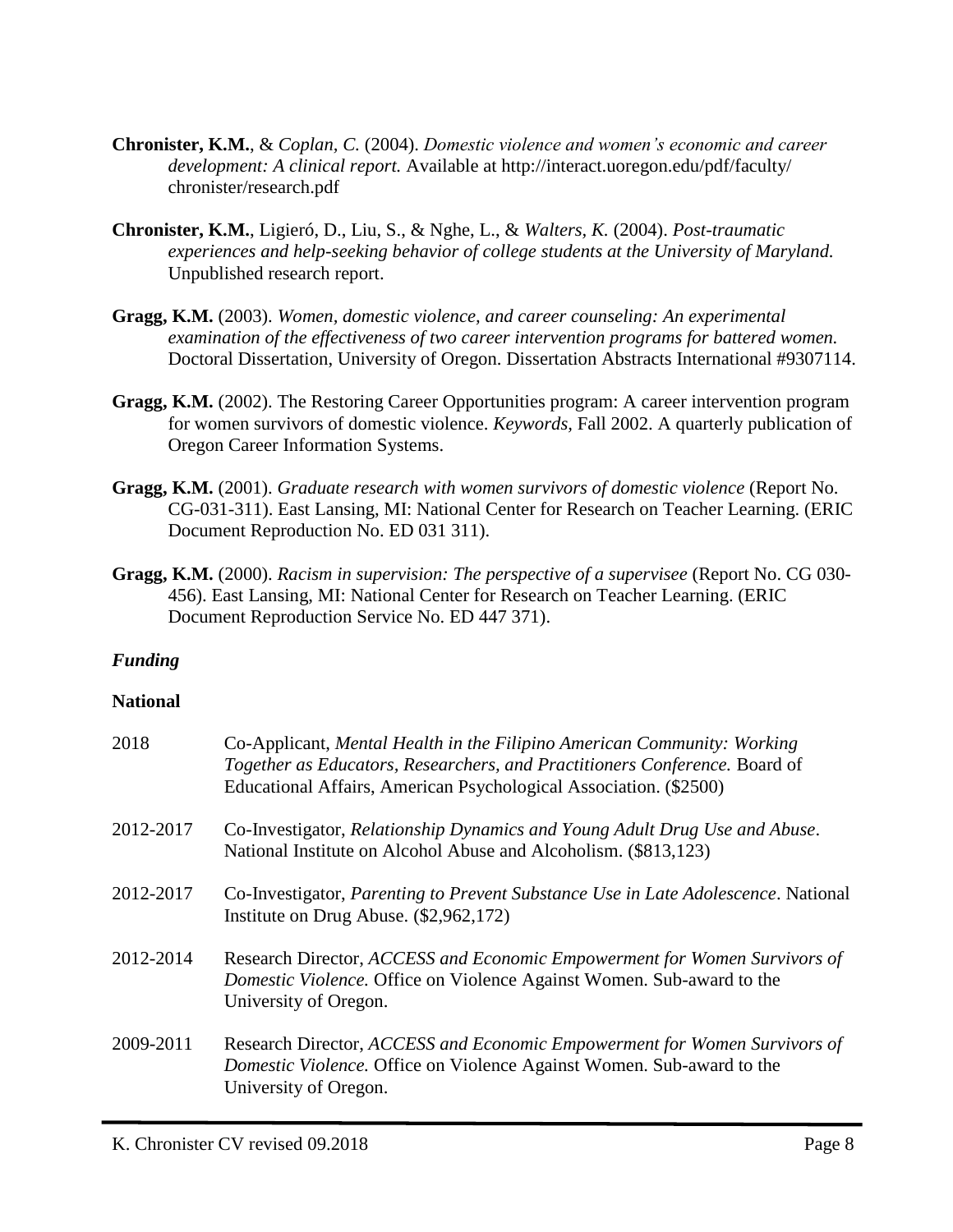- **Chronister, K.M.**, & *Coplan, C.* (2004). *Domestic violence and women's economic and career development: A clinical report.* Available at http://interact.uoregon.edu/pdf/faculty/ chronister/research.pdf
- **Chronister, K.M.**, Ligieró, D., Liu, S., & Nghe, L., & *Walters, K.* (2004). *Post-traumatic experiences and help-seeking behavior of college students at the University of Maryland.* Unpublished research report.
- **Gragg, K.M.** (2003). *Women, domestic violence, and career counseling: An experimental examination of the effectiveness of two career intervention programs for battered women.* Doctoral Dissertation, University of Oregon. Dissertation Abstracts International #9307114.
- **Gragg, K.M.** (2002). The Restoring Career Opportunities program: A career intervention program for women survivors of domestic violence. *Keywords,* Fall 2002. A quarterly publication of Oregon Career Information Systems.
- **Gragg, K.M.** (2001). *Graduate research with women survivors of domestic violence* (Report No. CG-031-311). East Lansing, MI: National Center for Research on Teacher Learning. (ERIC Document Reproduction No. ED 031 311).
- **Gragg, K.M.** (2000). *Racism in supervision: The perspective of a supervisee* (Report No. CG 030- 456). East Lansing, MI: National Center for Research on Teacher Learning. (ERIC Document Reproduction Service No. ED 447 371).

## *Funding*

## **National**

| 2018      | Co-Applicant, Mental Health in the Filipino American Community: Working<br>Together as Educators, Researchers, and Practitioners Conference. Board of<br>Educational Affairs, American Psychological Association. (\$2500) |
|-----------|----------------------------------------------------------------------------------------------------------------------------------------------------------------------------------------------------------------------------|
| 2012-2017 | Co-Investigator, Relationship Dynamics and Young Adult Drug Use and Abuse.<br>National Institute on Alcohol Abuse and Alcoholism. (\$813,123)                                                                              |
| 2012-2017 | Co-Investigator, <i>Parenting to Prevent Substance Use in Late Adolescence</i> . National<br>Institute on Drug Abuse. (\$2,962,172)                                                                                        |
| 2012-2014 | Research Director, ACCESS and Economic Empowerment for Women Survivors of<br>Domestic Violence. Office on Violence Against Women. Sub-award to the<br>University of Oregon.                                                |
| 2009-2011 | Research Director, ACCESS and Economic Empowerment for Women Survivors of<br>Domestic Violence. Office on Violence Against Women. Sub-award to the<br>University of Oregon.                                                |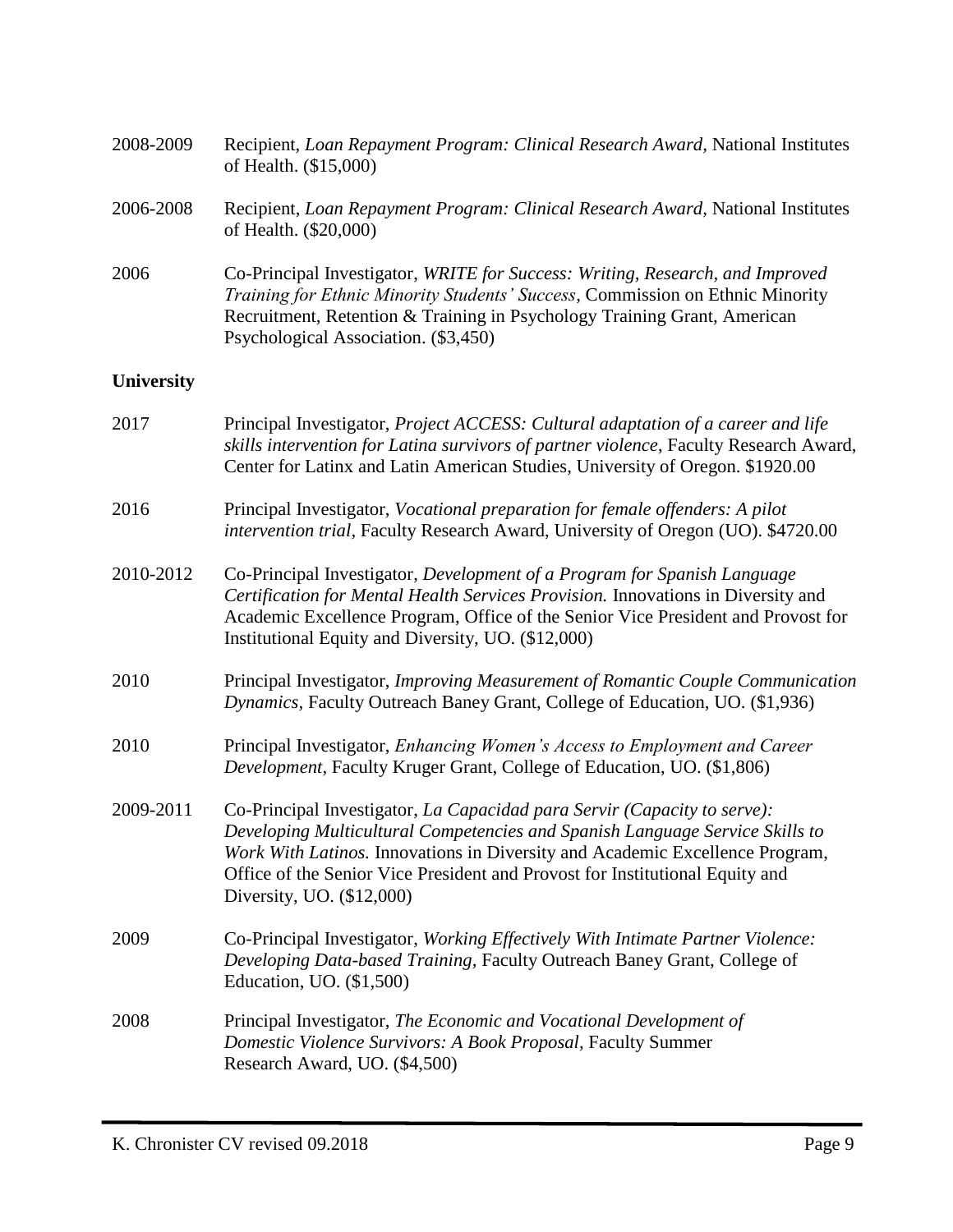| 2008-2009         | Recipient, Loan Repayment Program: Clinical Research Award, National Institutes<br>of Health. (\$15,000)                                                                                                                                                                                                                                              |  |
|-------------------|-------------------------------------------------------------------------------------------------------------------------------------------------------------------------------------------------------------------------------------------------------------------------------------------------------------------------------------------------------|--|
| 2006-2008         | Recipient, Loan Repayment Program: Clinical Research Award, National Institutes<br>of Health. (\$20,000)                                                                                                                                                                                                                                              |  |
| 2006              | Co-Principal Investigator, WRITE for Success: Writing, Research, and Improved<br>Training for Ethnic Minority Students' Success, Commission on Ethnic Minority<br>Recruitment, Retention & Training in Psychology Training Grant, American<br>Psychological Association. (\$3,450)                                                                    |  |
| <b>University</b> |                                                                                                                                                                                                                                                                                                                                                       |  |
| 2017              | Principal Investigator, Project ACCESS: Cultural adaptation of a career and life<br>skills intervention for Latina survivors of partner violence, Faculty Research Award,<br>Center for Latinx and Latin American Studies, University of Oregon. \$1920.00                                                                                            |  |
| 2016              | Principal Investigator, Vocational preparation for female offenders: A pilot<br>intervention trial, Faculty Research Award, University of Oregon (UO). \$4720.00                                                                                                                                                                                      |  |
| 2010-2012         | Co-Principal Investigator, Development of a Program for Spanish Language<br>Certification for Mental Health Services Provision. Innovations in Diversity and<br>Academic Excellence Program, Office of the Senior Vice President and Provost for<br>Institutional Equity and Diversity, UO. (\$12,000)                                                |  |
| 2010              | Principal Investigator, Improving Measurement of Romantic Couple Communication<br>Dynamics, Faculty Outreach Baney Grant, College of Education, UO. (\$1,936)                                                                                                                                                                                         |  |
| 2010              | Principal Investigator, Enhancing Women's Access to Employment and Career<br>Development, Faculty Kruger Grant, College of Education, UO. (\$1,806)                                                                                                                                                                                                   |  |
| 2009-2011         | Co-Principal Investigator, La Capacidad para Servir (Capacity to serve):<br>Developing Multicultural Competencies and Spanish Language Service Skills to<br>Work With Latinos. Innovations in Diversity and Academic Excellence Program,<br>Office of the Senior Vice President and Provost for Institutional Equity and<br>Diversity, UO. (\$12,000) |  |
| 2009              | Co-Principal Investigator, Working Effectively With Intimate Partner Violence:<br>Developing Data-based Training, Faculty Outreach Baney Grant, College of<br>Education, UO. (\$1,500)                                                                                                                                                                |  |
| 2008              | Principal Investigator, The Economic and Vocational Development of<br>Domestic Violence Survivors: A Book Proposal, Faculty Summer<br>Research Award, UO. (\$4,500)                                                                                                                                                                                   |  |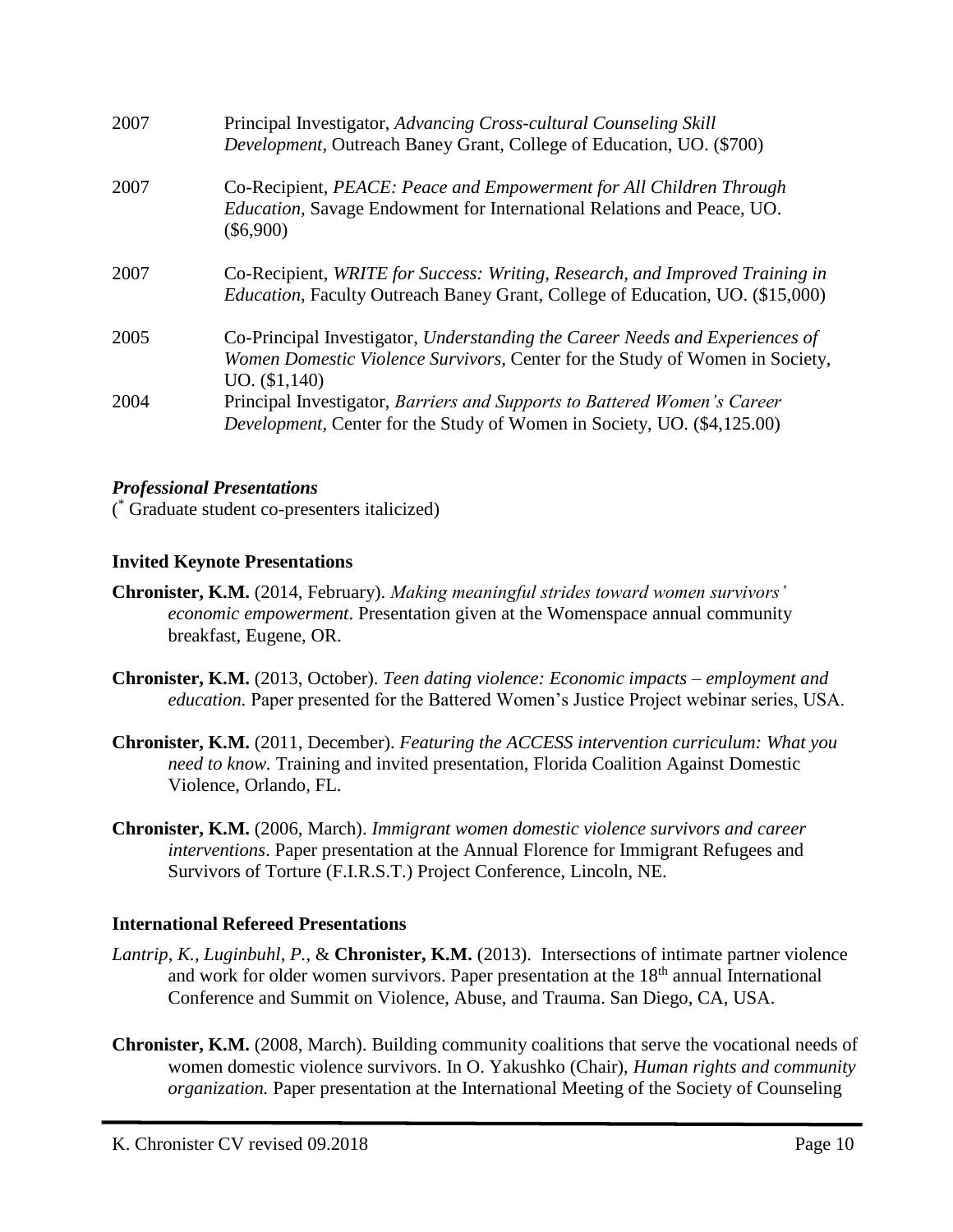| 2007 | Principal Investigator, Advancing Cross-cultural Counseling Skill<br><i>Development</i> , Outreach Baney Grant, College of Education, UO. (\$700)                             |
|------|-------------------------------------------------------------------------------------------------------------------------------------------------------------------------------|
| 2007 | Co-Recipient, PEACE: Peace and Empowerment for All Children Through<br>Education, Savage Endowment for International Relations and Peace, UO.<br>$(\$6,900)$                  |
| 2007 | Co-Recipient, WRITE for Success: Writing, Research, and Improved Training in<br><i>Education</i> , Faculty Outreach Baney Grant, College of Education, UO. (\$15,000)         |
| 2005 | Co-Principal Investigator, Understanding the Career Needs and Experiences of<br>Women Domestic Violence Survivors, Center for the Study of Women in Society,<br>UO. (\$1,140) |
| 2004 | Principal Investigator, Barriers and Supports to Battered Women's Career<br>Development, Center for the Study of Women in Society, UO. (\$4,125.00)                           |

#### *Professional Presentations*

( \* Graduate student co-presenters italicized)

#### **Invited Keynote Presentations**

- **Chronister, K.M.** (2014, February). *Making meaningful strides toward women survivors' economic empowerment*. Presentation given at the Womenspace annual community breakfast, Eugene, OR.
- **Chronister, K.M.** (2013, October). *Teen dating violence: Economic impacts – employment and education.* Paper presented for the Battered Women's Justice Project webinar series, USA.
- **Chronister, K.M.** (2011, December). *Featuring the ACCESS intervention curriculum: What you need to know.* Training and invited presentation, Florida Coalition Against Domestic Violence, Orlando, FL.
- **Chronister, K.M.** (2006, March). *Immigrant women domestic violence survivors and career interventions*. Paper presentation at the Annual Florence for Immigrant Refugees and Survivors of Torture (F.I.R.S.T.) Project Conference, Lincoln, NE.

## **International Refereed Presentations**

- *Lantrip, K., Luginbuhl, P.*, & **Chronister, K.M.** (2013). Intersections of intimate partner violence and work for older women survivors. Paper presentation at the 18<sup>th</sup> annual International Conference and Summit on Violence, Abuse, and Trauma. San Diego, CA, USA.
- **Chronister, K.M.** (2008, March). Building community coalitions that serve the vocational needs of women domestic violence survivors. In O. Yakushko (Chair), *Human rights and community organization.* Paper presentation at the International Meeting of the Society of Counseling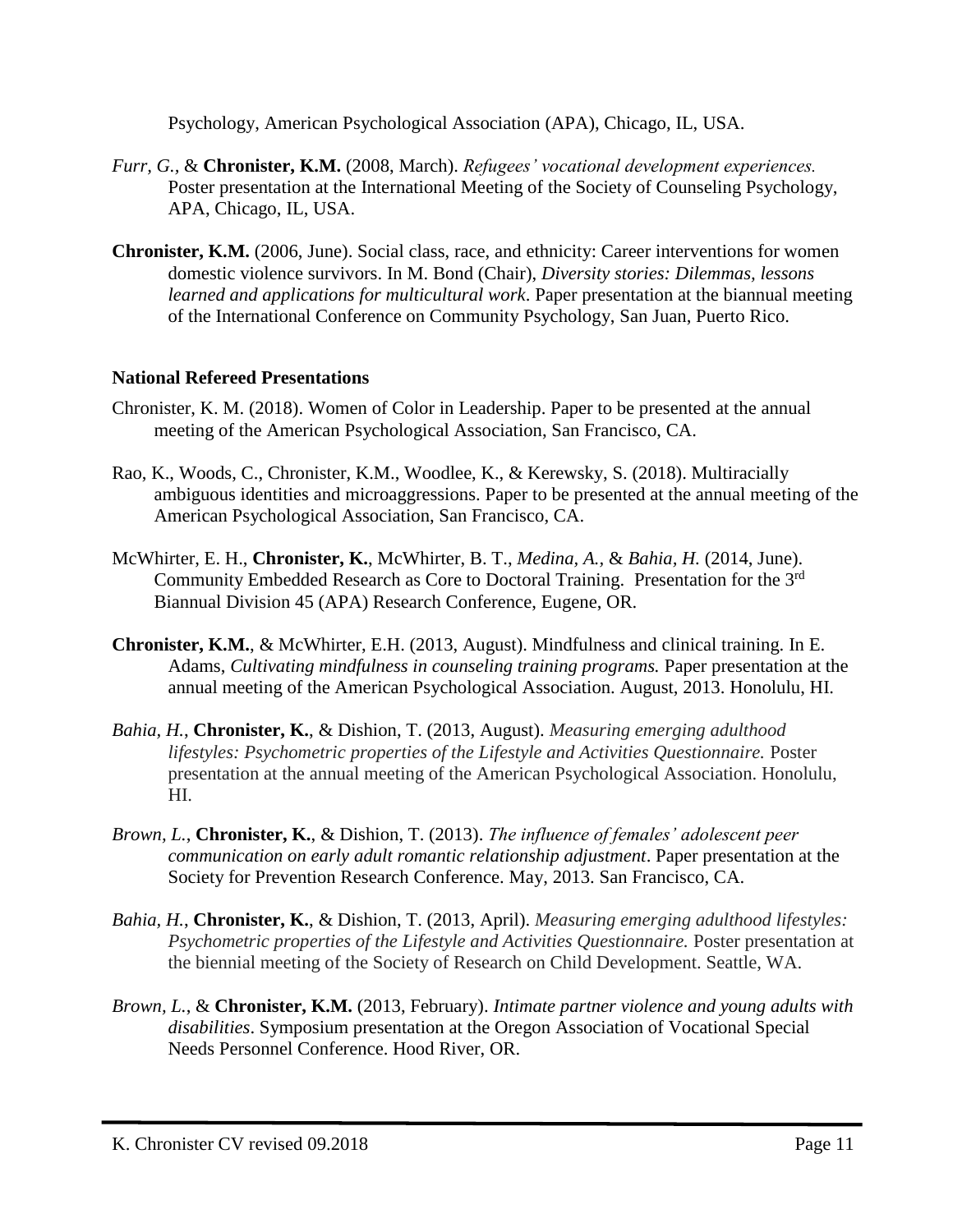Psychology, American Psychological Association (APA), Chicago, IL, USA.

- *Furr, G.,* & **Chronister, K.M.** (2008, March). *Refugees' vocational development experiences.* Poster presentation at the International Meeting of the Society of Counseling Psychology, APA, Chicago, IL, USA.
- **Chronister, K.M.** (2006, June). Social class, race, and ethnicity: Career interventions for women domestic violence survivors. In M. Bond (Chair), *Diversity stories: Dilemmas, lessons learned and applications for multicultural work*. Paper presentation at the biannual meeting of the International Conference on Community Psychology, San Juan, Puerto Rico.

## **National Refereed Presentations**

- Chronister, K. M. (2018). Women of Color in Leadership. Paper to be presented at the annual meeting of the American Psychological Association, San Francisco, CA.
- Rao, K., Woods, C., Chronister, K.M., Woodlee, K., & Kerewsky, S. (2018). Multiracially ambiguous identities and microaggressions. Paper to be presented at the annual meeting of the American Psychological Association, San Francisco, CA.
- McWhirter, E. H., **Chronister, K.**, McWhirter, B. T., *Medina, A.,* & *Bahia, H.* (2014, June). Community Embedded Research as Core to Doctoral Training. Presentation for the 3rd Biannual Division 45 (APA) Research Conference, Eugene, OR.
- **Chronister, K.M.**, & McWhirter, E.H. (2013, August). Mindfulness and clinical training. In E. Adams, *Cultivating mindfulness in counseling training programs.* Paper presentation at the annual meeting of the American Psychological Association. August, 2013. Honolulu, HI.
- *Bahia, H.*, **Chronister, K.**, & Dishion, T. (2013, August). *Measuring emerging adulthood lifestyles: Psychometric properties of the Lifestyle and Activities Questionnaire.* Poster presentation at the annual meeting of the American Psychological Association. Honolulu, HI.
- *Brown, L.*, **Chronister, K.**, & Dishion, T. (2013). *The influence of females' adolescent peer communication on early adult romantic relationship adjustment*. Paper presentation at the Society for Prevention Research Conference. May, 2013. San Francisco, CA.
- *Bahia, H.*, **Chronister, K.**, & Dishion, T. (2013, April). *Measuring emerging adulthood lifestyles:*  Psychometric properties of the Lifestyle and Activities Questionnaire. Poster presentation at the biennial meeting of the Society of Research on Child Development. Seattle, WA.
- *Brown, L.*, & **Chronister, K.M.** (2013, February). *Intimate partner violence and young adults with disabilities*. Symposium presentation at the Oregon Association of Vocational Special Needs Personnel Conference. Hood River, OR.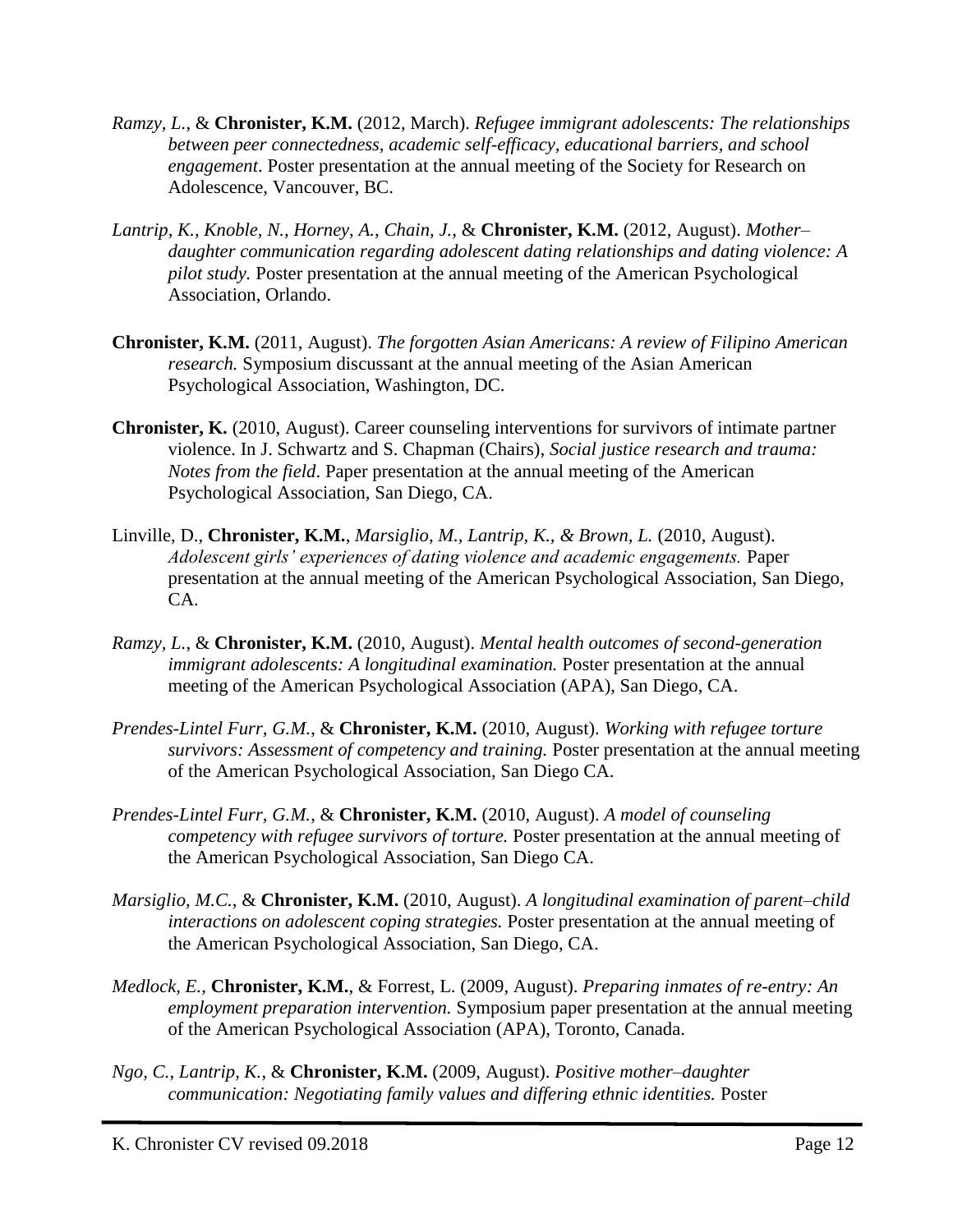- *Ramzy, L.*, & **Chronister, K.M.** (2012, March). *Refugee immigrant adolescents: The relationships between peer connectedness, academic self-efficacy, educational barriers, and school engagement*. Poster presentation at the annual meeting of the Society for Research on Adolescence, Vancouver, BC.
- *Lantrip, K., Knoble, N., Horney, A., Chain, J.*, & **Chronister, K.M.** (2012, August). *Mother– daughter communication regarding adolescent dating relationships and dating violence: A pilot study.* Poster presentation at the annual meeting of the American Psychological Association, Orlando.
- **Chronister, K.M.** (2011, August). *The forgotten Asian Americans: A review of Filipino American research.* Symposium discussant at the annual meeting of the Asian American Psychological Association, Washington, DC.
- **Chronister, K.** (2010, August). Career counseling interventions for survivors of intimate partner violence. In J. Schwartz and S. Chapman (Chairs), *Social justice research and trauma: Notes from the field*. Paper presentation at the annual meeting of the American Psychological Association, San Diego, CA.
- Linville, D., **Chronister, K.M.**, *Marsiglio, M., Lantrip, K., & Brown, L.* (2010, August). *Adolescent girls' experiences of dating violence and academic engagements.* Paper presentation at the annual meeting of the American Psychological Association, San Diego, CA.
- *Ramzy, L.*, & **Chronister, K.M.** (2010, August). *Mental health outcomes of second-generation immigrant adolescents: A longitudinal examination.* Poster presentation at the annual meeting of the American Psychological Association (APA), San Diego, CA.
- *Prendes-Lintel Furr, G.M.*, & **Chronister, K.M.** (2010, August). *Working with refugee torture survivors: Assessment of competency and training.* Poster presentation at the annual meeting of the American Psychological Association, San Diego CA.
- *Prendes-Lintel Furr, G.M.*, & **Chronister, K.M.** (2010, August). *A model of counseling competency with refugee survivors of torture.* Poster presentation at the annual meeting of the American Psychological Association, San Diego CA.
- *Marsiglio, M.C.*, & **Chronister, K.M.** (2010, August). *A longitudinal examination of parent–child interactions on adolescent coping strategies.* Poster presentation at the annual meeting of the American Psychological Association, San Diego, CA.
- *Medlock, E.*, **Chronister, K.M.**, & Forrest, L. (2009, August). *Preparing inmates of re-entry: An employment preparation intervention.* Symposium paper presentation at the annual meeting of the American Psychological Association (APA), Toronto, Canada.
- *Ngo, C.*, *Lantrip, K.*, & **Chronister, K.M.** (2009, August). *Positive mother–daughter communication: Negotiating family values and differing ethnic identities.* Poster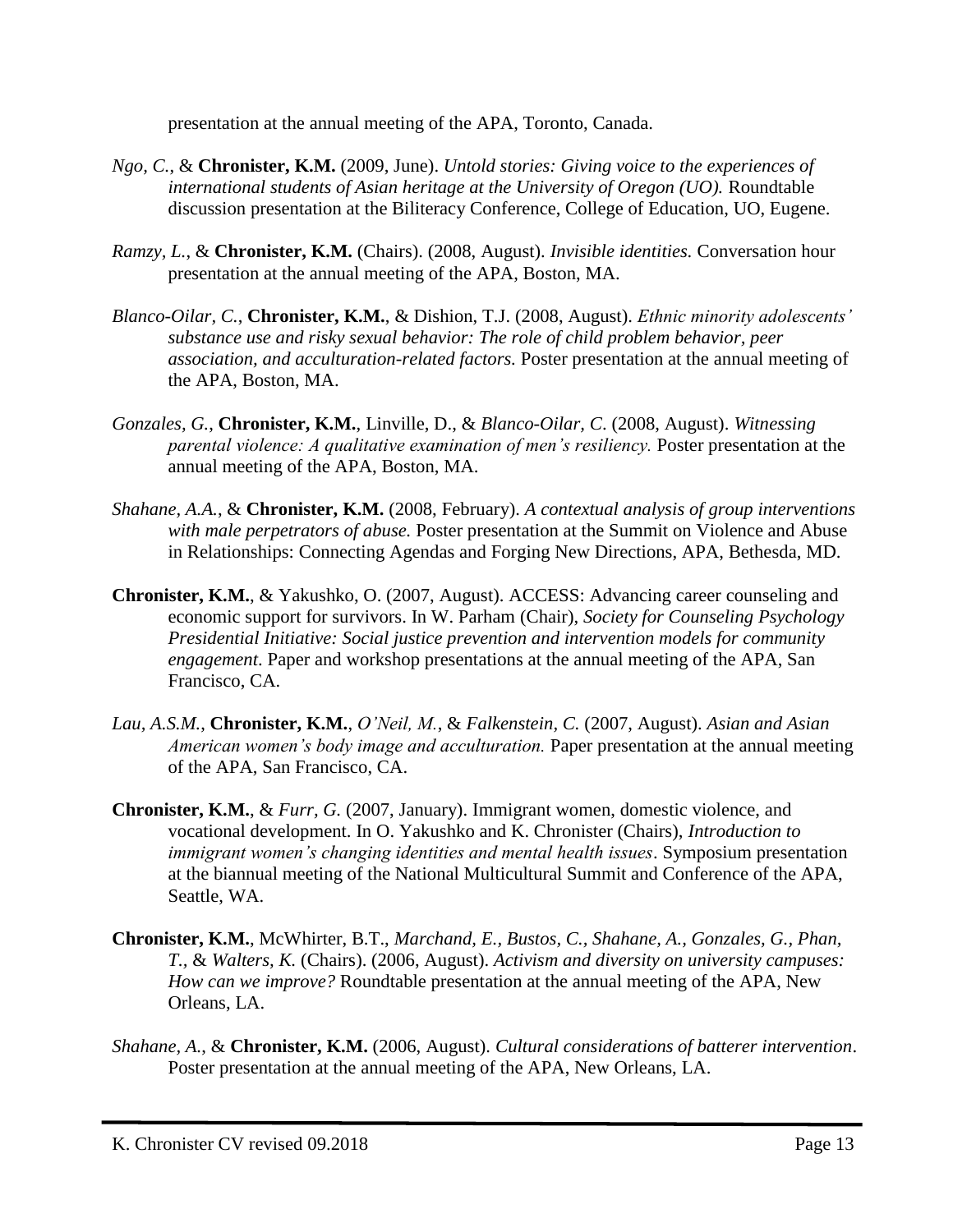presentation at the annual meeting of the APA, Toronto, Canada.

- *Ngo, C.*, & **Chronister, K.M.** (2009, June). *Untold stories: Giving voice to the experiences of international students of Asian heritage at the University of Oregon (UO).* Roundtable discussion presentation at the Biliteracy Conference, College of Education, UO, Eugene.
- *Ramzy, L.*, & **Chronister, K.M.** (Chairs). (2008, August). *Invisible identities.* Conversation hour presentation at the annual meeting of the APA, Boston, MA.
- *Blanco-Oilar, C.*, **Chronister, K.M.**, & Dishion, T.J. (2008, August). *Ethnic minority adolescents' substance use and risky sexual behavior: The role of child problem behavior, peer association, and acculturation-related factors.* Poster presentation at the annual meeting of the APA, Boston, MA.
- *Gonzales, G.*, **Chronister, K.M.**, Linville, D., & *Blanco-Oilar, C*. (2008, August). *Witnessing parental violence: A qualitative examination of men's resiliency.* Poster presentation at the annual meeting of the APA, Boston, MA.
- *Shahane, A.A.*, & **Chronister, K.M.** (2008, February). *A contextual analysis of group interventions with male perpetrators of abuse.* Poster presentation at the Summit on Violence and Abuse in Relationships: Connecting Agendas and Forging New Directions, APA, Bethesda, MD.
- **Chronister, K.M.**, & Yakushko, O. (2007, August). ACCESS: Advancing career counseling and economic support for survivors. In W. Parham (Chair), *Society for Counseling Psychology Presidential Initiative: Social justice prevention and intervention models for community engagement*. Paper and workshop presentations at the annual meeting of the APA, San Francisco, CA.
- *Lau, A.S.M.*, **Chronister, K.M.**, *O'Neil, M.*, & *Falkenstein, C.* (2007, August). *Asian and Asian American women's body image and acculturation.* Paper presentation at the annual meeting of the APA, San Francisco, CA.
- **Chronister, K.M.**, & *Furr, G.* (2007, January). Immigrant women, domestic violence, and vocational development. In O. Yakushko and K. Chronister (Chairs), *Introduction to immigrant women's changing identities and mental health issues*. Symposium presentation at the biannual meeting of the National Multicultural Summit and Conference of the APA, Seattle, WA.
- **Chronister, K.M.**, McWhirter, B.T., *Marchand, E., Bustos, C., Shahane, A., Gonzales, G., Phan, T.,* & *Walters, K.* (Chairs). (2006, August). *Activism and diversity on university campuses: How can we improve?* Roundtable presentation at the annual meeting of the APA, New Orleans, LA.
- *Shahane, A.*, & **Chronister, K.M.** (2006, August). *Cultural considerations of batterer intervention*. Poster presentation at the annual meeting of the APA, New Orleans, LA.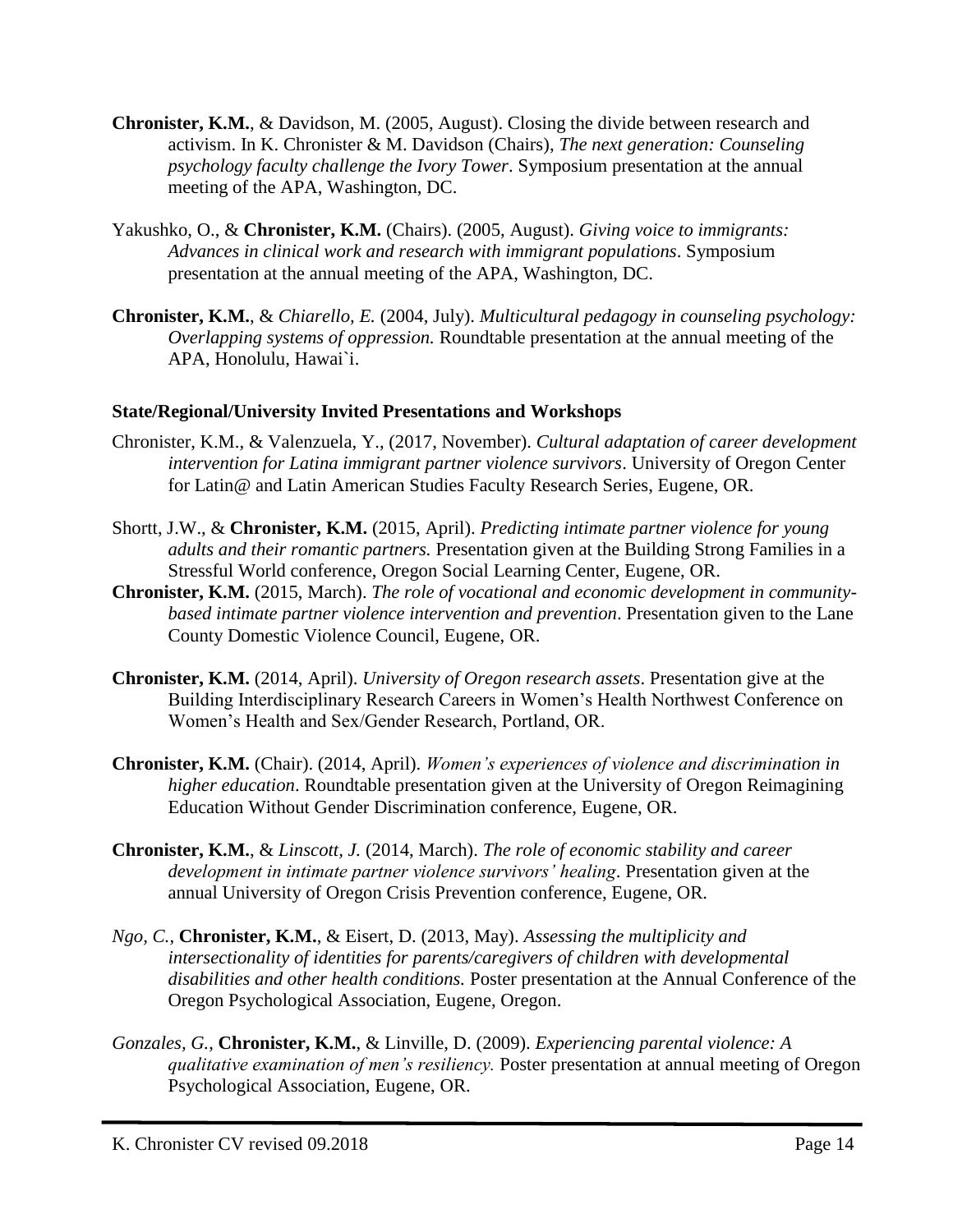- **Chronister, K.M.**, & Davidson, M. (2005, August). Closing the divide between research and activism. In K. Chronister & M. Davidson (Chairs), *The next generation: Counseling psychology faculty challenge the Ivory Tower*. Symposium presentation at the annual meeting of the APA, Washington, DC.
- Yakushko, O., & **Chronister, K.M.** (Chairs). (2005, August). *Giving voice to immigrants: Advances in clinical work and research with immigrant populations*. Symposium presentation at the annual meeting of the APA, Washington, DC.
- **Chronister, K.M.**, & *Chiarello, E.* (2004, July). *Multicultural pedagogy in counseling psychology: Overlapping systems of oppression.* Roundtable presentation at the annual meeting of the APA, Honolulu, Hawai`i.

## **State/Regional/University Invited Presentations and Workshops**

- Chronister, K.M., & Valenzuela, Y., (2017, November). *Cultural adaptation of career development intervention for Latina immigrant partner violence survivors*. University of Oregon Center for Latin@ and Latin American Studies Faculty Research Series, Eugene, OR.
- Shortt, J.W., & **Chronister, K.M.** (2015, April). *Predicting intimate partner violence for young adults and their romantic partners.* Presentation given at the Building Strong Families in a Stressful World conference, Oregon Social Learning Center, Eugene, OR.
- **Chronister, K.M.** (2015, March). *The role of vocational and economic development in communitybased intimate partner violence intervention and prevention*. Presentation given to the Lane County Domestic Violence Council, Eugene, OR.
- **Chronister, K.M.** (2014, April). *University of Oregon research assets*. Presentation give at the Building Interdisciplinary Research Careers in Women's Health Northwest Conference on Women's Health and Sex/Gender Research, Portland, OR.
- **Chronister, K.M.** (Chair). (2014, April). *Women's experiences of violence and discrimination in higher education*. Roundtable presentation given at the University of Oregon Reimagining Education Without Gender Discrimination conference, Eugene, OR.
- **Chronister, K.M.**, & *Linscott, J.* (2014, March). *The role of economic stability and career development in intimate partner violence survivors' healing*. Presentation given at the annual University of Oregon Crisis Prevention conference, Eugene, OR.
- *Ngo, C.*, **Chronister, K.M.**, & Eisert, D. (2013, May). *Assessing the multiplicity and intersectionality of identities for parents/caregivers of children with developmental disabilities and other health conditions.* Poster presentation at the Annual Conference of the Oregon Psychological Association, Eugene, Oregon.
- *Gonzales, G.*, **Chronister, K.M.**, & Linville, D. (2009). *Experiencing parental violence: A qualitative examination of men's resiliency.* Poster presentation at annual meeting of Oregon Psychological Association, Eugene, OR.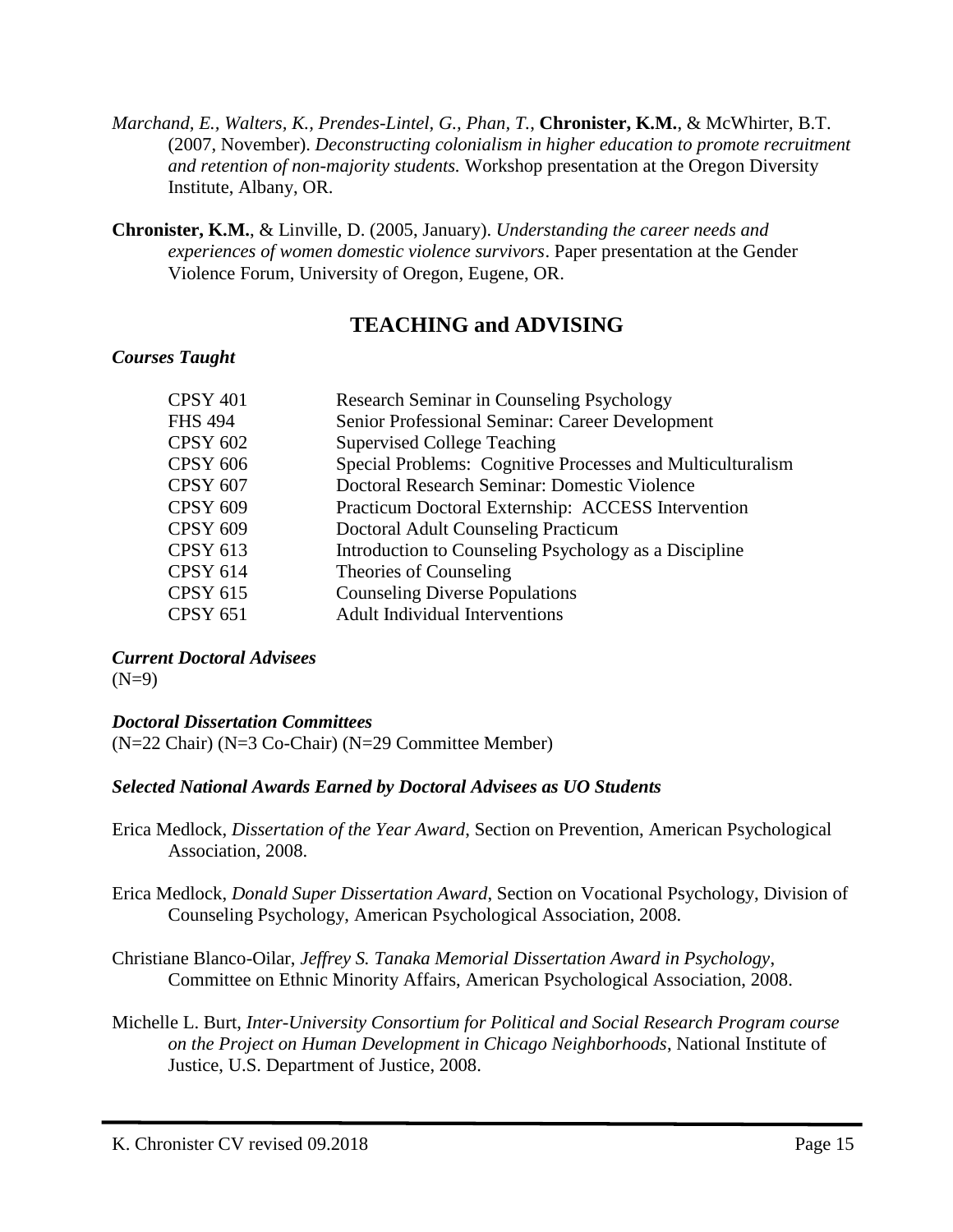- *Marchand, E., Walters, K., Prendes-Lintel, G., Phan, T.*, **Chronister, K.M.**, & McWhirter, B.T. (2007, November). *Deconstructing colonialism in higher education to promote recruitment and retention of non-majority students.* Workshop presentation at the Oregon Diversity Institute, Albany, OR.
- **Chronister, K.M.**, & Linville, D. (2005, January). *Understanding the career needs and experiences of women domestic violence survivors*. Paper presentation at the Gender Violence Forum, University of Oregon, Eugene, OR.

## **TEACHING and ADVISING**

#### *Courses Taught*

| <b>CPSY 401</b> | Research Seminar in Counseling Psychology                  |
|-----------------|------------------------------------------------------------|
| <b>FHS 494</b>  | Senior Professional Seminar: Career Development            |
| <b>CPSY 602</b> | <b>Supervised College Teaching</b>                         |
| <b>CPSY 606</b> | Special Problems: Cognitive Processes and Multiculturalism |
| <b>CPSY 607</b> | Doctoral Research Seminar: Domestic Violence               |
| <b>CPSY 609</b> | Practicum Doctoral Externship: ACCESS Intervention         |
| <b>CPSY 609</b> | Doctoral Adult Counseling Practicum                        |
| <b>CPSY 613</b> | Introduction to Counseling Psychology as a Discipline      |
| <b>CPSY 614</b> | Theories of Counseling                                     |
| <b>CPSY 615</b> | <b>Counseling Diverse Populations</b>                      |
| <b>CPSY 651</b> | <b>Adult Individual Interventions</b>                      |
|                 |                                                            |

*Current Doctoral Advisees*   $(N=9)$ 

## *Doctoral Dissertation Committees*

(N=22 Chair) (N=3 Co-Chair) (N=29 Committee Member)

## *Selected National Awards Earned by Doctoral Advisees as UO Students*

- Erica Medlock, *Dissertation of the Year Award*, Section on Prevention, American Psychological Association, 2008.
- Erica Medlock, *Donald Super Dissertation Award*, Section on Vocational Psychology, Division of Counseling Psychology, American Psychological Association, 2008.
- Christiane Blanco-Oilar, *Jeffrey S. Tanaka Memorial Dissertation Award in Psychology*, Committee on Ethnic Minority Affairs, American Psychological Association, 2008.
- Michelle L. Burt, *Inter-University Consortium for Political and Social Research Program course on the Project on Human Development in Chicago Neighborhoods*, National Institute of Justice, U.S. Department of Justice, 2008.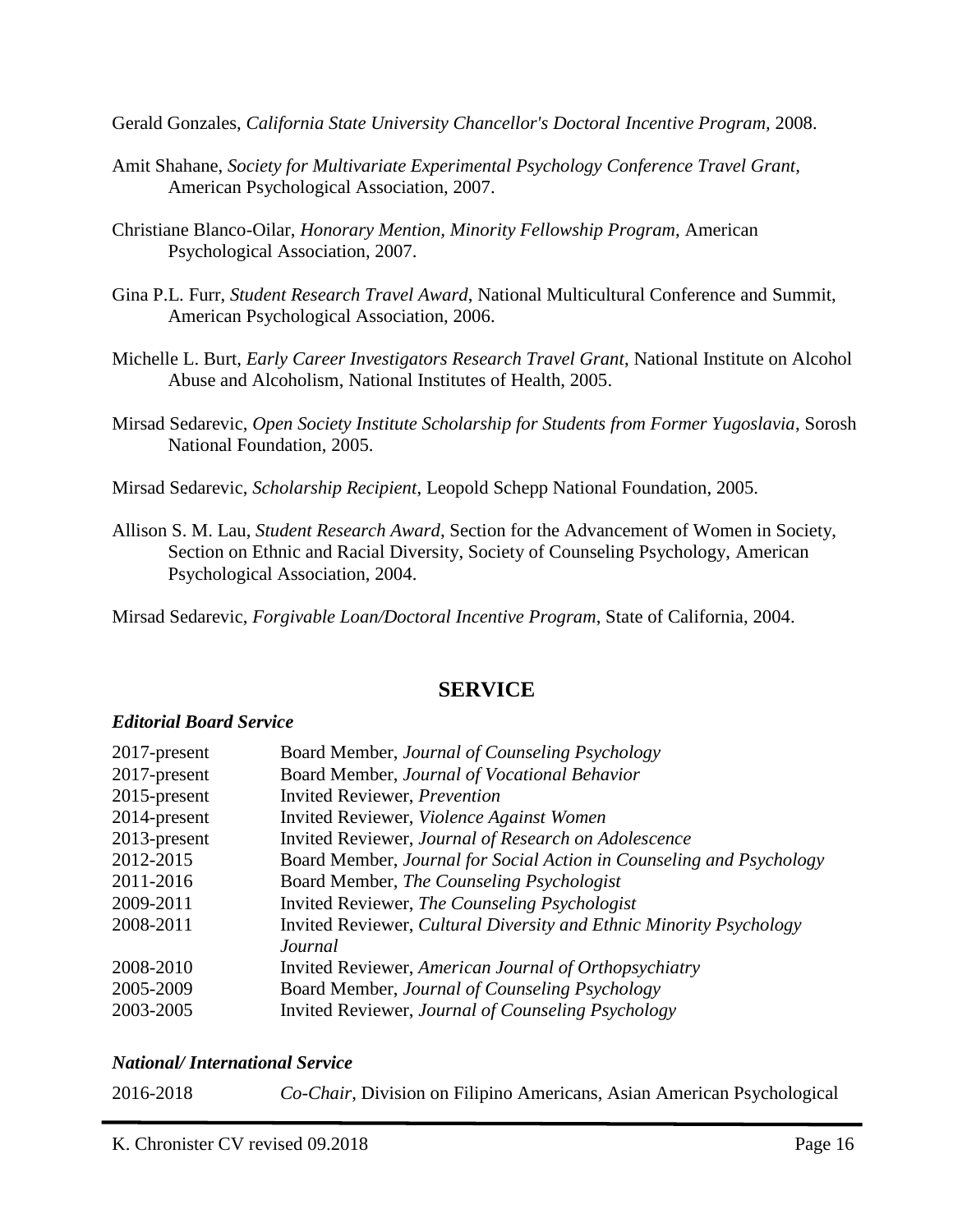Gerald Gonzales, *California State University Chancellor's Doctoral Incentive Program,* 2008.

- Amit Shahane, *Society for Multivariate Experimental Psychology Conference Travel Grant,*  American Psychological Association, 2007.
- Christiane Blanco-Oilar, *Honorary Mention, Minority Fellowship Program*, American Psychological Association, 2007.
- Gina P.L. Furr, *Student Research Travel Award*, National Multicultural Conference and Summit, American Psychological Association, 2006.
- Michelle L. Burt, *Early Career Investigators Research Travel Grant*, National Institute on Alcohol Abuse and Alcoholism, National Institutes of Health, 2005.
- Mirsad Sedarevic, *Open Society Institute Scholarship for Students from Former Yugoslavia*, Sorosh National Foundation, 2005.

Mirsad Sedarevic, *Scholarship Recipient*, Leopold Schepp National Foundation, 2005.

Allison S. M. Lau, *Student Research Award*, Section for the Advancement of Women in Society, Section on Ethnic and Racial Diversity, Society of Counseling Psychology, American Psychological Association, 2004.

Mirsad Sedarevic, *Forgivable Loan/Doctoral Incentive Program*, State of California, 2004.

## **SERVICE**

## *Editorial Board Service*

| Board Member, Journal of Counseling Psychology                       |
|----------------------------------------------------------------------|
| Board Member, Journal of Vocational Behavior                         |
| <b>Invited Reviewer</b> , <i>Prevention</i>                          |
| Invited Reviewer, Violence Against Women                             |
| Invited Reviewer, Journal of Research on Adolescence                 |
| Board Member, Journal for Social Action in Counseling and Psychology |
| Board Member, The Counseling Psychologist                            |
| Invited Reviewer, The Counseling Psychologist                        |
| Invited Reviewer, Cultural Diversity and Ethnic Minority Psychology  |
| Journal                                                              |
| Invited Reviewer, American Journal of Orthopsychiatry                |
| Board Member, Journal of Counseling Psychology                       |
| Invited Reviewer, Journal of Counseling Psychology                   |
|                                                                      |

#### *National/ International Service*

| 2016-2018 |  | Co-Chair, Division on Filipino Americans, Asian American Psychological |  |
|-----------|--|------------------------------------------------------------------------|--|
|-----------|--|------------------------------------------------------------------------|--|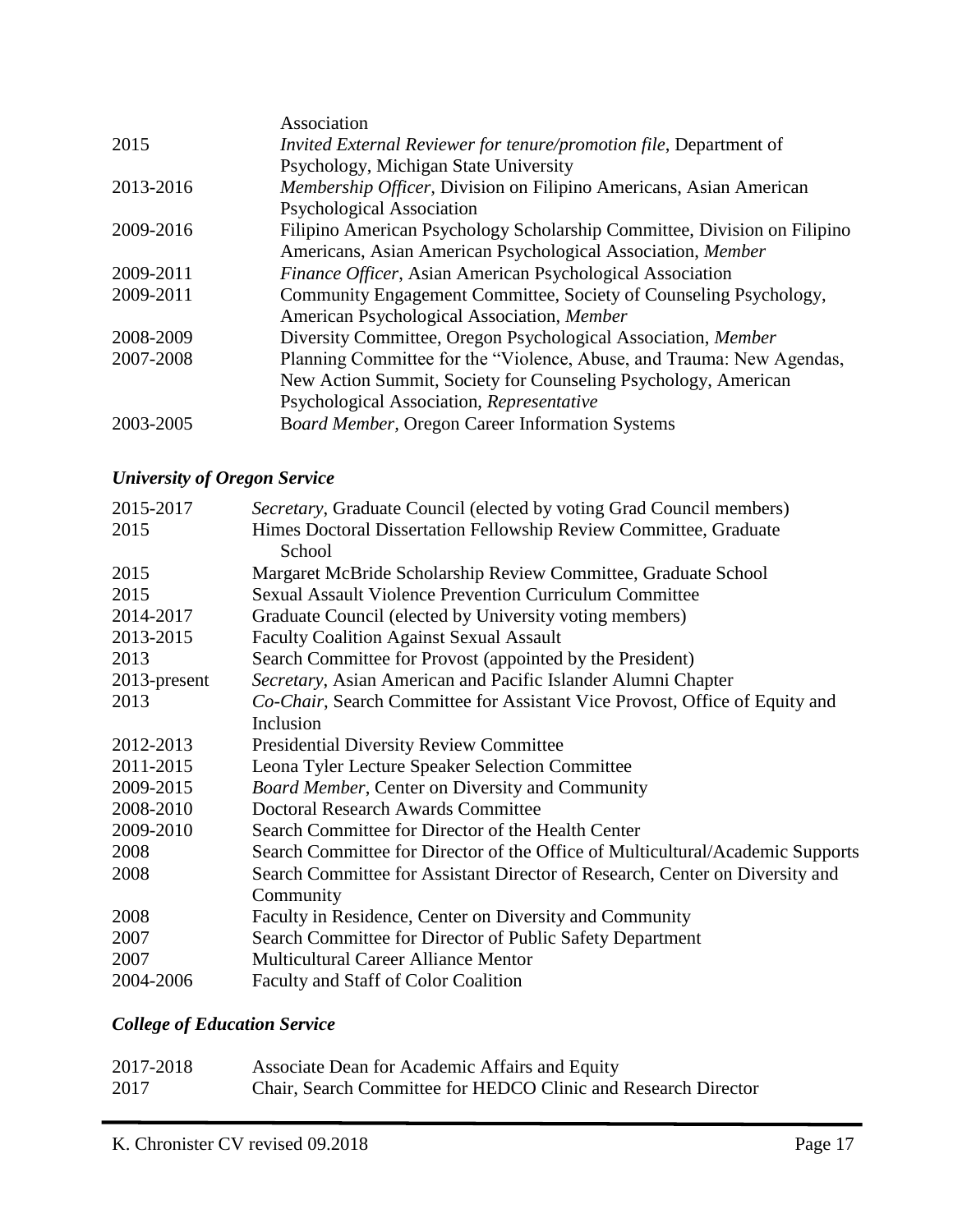|           | Association                                                              |
|-----------|--------------------------------------------------------------------------|
| 2015      | Invited External Reviewer for tenure/promotion file, Department of       |
|           | Psychology, Michigan State University                                    |
| 2013-2016 | Membership Officer, Division on Filipino Americans, Asian American       |
|           | <b>Psychological Association</b>                                         |
| 2009-2016 | Filipino American Psychology Scholarship Committee, Division on Filipino |
|           | Americans, Asian American Psychological Association, Member              |
| 2009-2011 | Finance Officer, Asian American Psychological Association                |
| 2009-2011 | Community Engagement Committee, Society of Counseling Psychology,        |
|           | American Psychological Association, Member                               |
| 2008-2009 | Diversity Committee, Oregon Psychological Association, Member            |
| 2007-2008 | Planning Committee for the "Violence, Abuse, and Trauma: New Agendas,    |
|           | New Action Summit, Society for Counseling Psychology, American           |
|           | Psychological Association, Representative                                |
| 2003-2005 | Board Member, Oregon Career Information Systems                          |
|           |                                                                          |

# *University of Oregon Service*

| 2015-2017    | Secretary, Graduate Council (elected by voting Grad Council members)           |
|--------------|--------------------------------------------------------------------------------|
| 2015         | Himes Doctoral Dissertation Fellowship Review Committee, Graduate              |
|              | School                                                                         |
| 2015         | Margaret McBride Scholarship Review Committee, Graduate School                 |
| 2015         | <b>Sexual Assault Violence Prevention Curriculum Committee</b>                 |
| 2014-2017    | Graduate Council (elected by University voting members)                        |
| 2013-2015    | <b>Faculty Coalition Against Sexual Assault</b>                                |
| 2013         | Search Committee for Provost (appointed by the President)                      |
| 2013-present | Secretary, Asian American and Pacific Islander Alumni Chapter                  |
| 2013         | Co-Chair, Search Committee for Assistant Vice Provost, Office of Equity and    |
|              | Inclusion                                                                      |
| 2012-2013    | <b>Presidential Diversity Review Committee</b>                                 |
| 2011-2015    | Leona Tyler Lecture Speaker Selection Committee                                |
| 2009-2015    | <b>Board Member, Center on Diversity and Community</b>                         |
| 2008-2010    | <b>Doctoral Research Awards Committee</b>                                      |
| 2009-2010    | Search Committee for Director of the Health Center                             |
| 2008         | Search Committee for Director of the Office of Multicultural/Academic Supports |
| 2008         | Search Committee for Assistant Director of Research, Center on Diversity and   |
|              | Community                                                                      |
| 2008         | Faculty in Residence, Center on Diversity and Community                        |
| 2007         | Search Committee for Director of Public Safety Department                      |
| 2007         | <b>Multicultural Career Alliance Mentor</b>                                    |
| 2004-2006    | Faculty and Staff of Color Coalition                                           |

# *College of Education Service*

| 2017-2018 | Associate Dean for Academic Affairs and Equity                 |
|-----------|----------------------------------------------------------------|
| 2017      | Chair, Search Committee for HEDCO Clinic and Research Director |